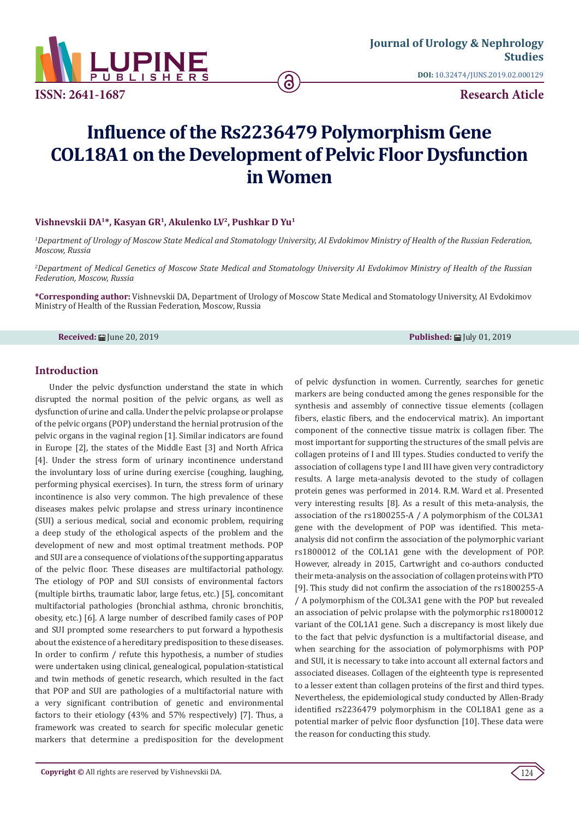

**ISSN: 2641-1687**

**DOI:** [10.32474/JUNS.2019.02.00012](http://dx.doi.org/10.32474/JUNS.2019.02.000129)9

**Research Aticle**

# **Influence of the Rs2236479 Polymorphism Gene COL18A1 on the Development of Pelvic Floor Dysfunction in Women**

#### **Vishnevskii DA1\*, Kasyan GR1, Akulenko LV2, Pushkar D Yu<sup>1</sup>**

*1 Department of Urology of Moscow State Medical and Stomatology University, AI Evdokimov Ministry of Health of the Russian Federation, Moscow, Russia*

*2 Department of Medical Genetics of Moscow State Medical and Stomatology University AI Evdokimov Ministry of Health of the Russian Federation, Moscow, Russia*

**\*Corresponding author:** Vishnevskii DA, Department of Urology of Moscow State Medical and Stomatology University, AI Evdokimov Ministry of Health of the Russian Federation, Moscow, Russia

**Received:** 的 Une 20, 2019 **Published:** 国 Une 20, 2019 **Published:** 国 Une 20, 2019 **Published:** 国 Une 20, 2019

#### **Introduction**

Under the pelvic dysfunction understand the state in which disrupted the normal position of the pelvic organs, as well as dysfunction of urine and calla. Under the pelvic prolapse or prolapse of the pelvic organs (POP) understand the hernial protrusion of the pelvic organs in the vaginal region [1]. Similar indicators are found in Europe [2], the states of the Middle East [3] and North Africa [4]. Under the stress form of urinary incontinence understand the involuntary loss of urine during exercise (coughing, laughing, performing physical exercises). In turn, the stress form of urinary incontinence is also very common. The high prevalence of these diseases makes pelvic prolapse and stress urinary incontinence (SUI) a serious medical, social and economic problem, requiring a deep study of the ethological aspects of the problem and the development of new and most optimal treatment methods. POP and SUI are a consequence of violations of the supporting apparatus of the pelvic floor. These diseases are multifactorial pathology. The etiology of POP and SUI consists of environmental factors (multiple births, traumatic labor, large fetus, etc.) [5], concomitant multifactorial pathologies (bronchial asthma, chronic bronchitis, obesity, etc.) [6]. A large number of described family cases of POP and SUI prompted some researchers to put forward a hypothesis about the existence of a hereditary predisposition to these diseases. In order to confirm / refute this hypothesis, a number of studies were undertaken using clinical, genealogical, population-statistical and twin methods of genetic research, which resulted in the fact that POP and SUI are pathologies of a multifactorial nature with a very significant contribution of genetic and environmental factors to their etiology (43% and 57% respectively) [7]. Thus, a framework was created to search for specific molecular genetic markers that determine a predisposition for the development of pelvic dysfunction in women. Currently, searches for genetic markers are being conducted among the genes responsible for the synthesis and assembly of connective tissue elements (collagen fibers, elastic fibers, and the endocervical matrix). An important component of the connective tissue matrix is collagen fiber. The most important for supporting the structures of the small pelvis are collagen proteins of I and III types. Studies conducted to verify the association of collagens type I and III have given very contradictory results. A large meta-analysis devoted to the study of collagen protein genes was performed in 2014. R.M. Ward et al. Presented very interesting results [8]. As a result of this meta-analysis, the association of the rs1800255-A / A polymorphism of the COL3A1 gene with the development of POP was identified. This metaanalysis did not confirm the association of the polymorphic variant rs1800012 of the COL1A1 gene with the development of POP. However, already in 2015, Cartwright and co-authors conducted their meta-analysis on the association of collagen proteins with PTO [9]. This study did not confirm the association of the rs1800255-A / A polymorphism of the COL3A1 gene with the POP but revealed an association of pelvic prolapse with the polymorphic rs1800012 variant of the COL1A1 gene. Such a discrepancy is most likely due to the fact that pelvic dysfunction is a multifactorial disease, and when searching for the association of polymorphisms with POP and SUI, it is necessary to take into account all external factors and associated diseases. Collagen of the eighteenth type is represented to a lesser extent than collagen proteins of the first and third types. Nevertheless, the epidemiological study conducted by Allen-Brady identified rs2236479 polymorphism in the COL18A1 gene as a potential marker of pelvic floor dysfunction [10]. These data were the reason for conducting this study.

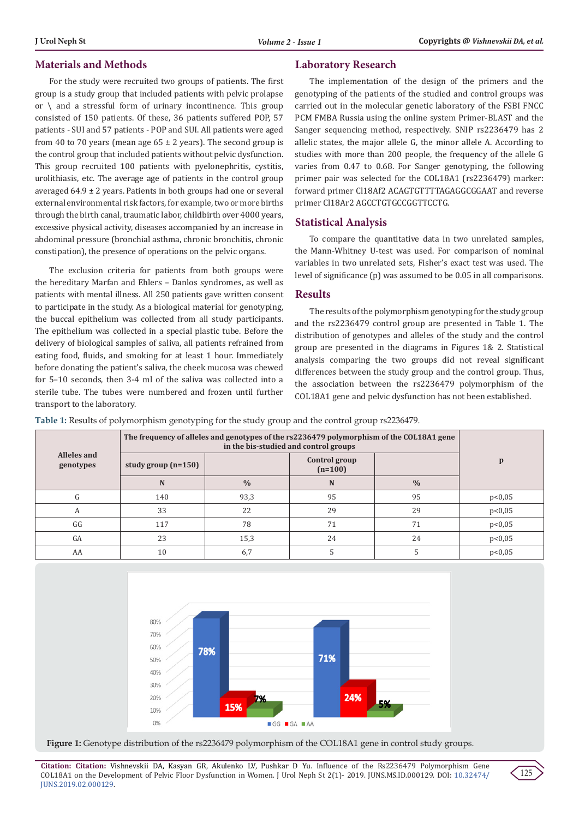### **Materials and Methods**

For the study were recruited two groups of patients. The first group is a study group that included patients with pelvic prolapse or  $\setminus$  and a stressful form of urinary incontinence. This group consisted of 150 patients. Of these, 36 patients suffered POP, 57 patients - SUI and 57 patients - POP and SUI. All patients were aged from 40 to 70 years (mean age  $65 \pm 2$  years). The second group is the control group that included patients without pelvic dysfunction. This group recruited 100 patients with pyelonephritis, cystitis, urolithiasis, etc. The average age of patients in the control group averaged  $64.9 \pm 2$  years. Patients in both groups had one or several external environmental risk factors, for example, two or more births through the birth canal, traumatic labor, childbirth over 4000 years, excessive physical activity, diseases accompanied by an increase in abdominal pressure (bronchial asthma, chronic bronchitis, chronic constipation), the presence of operations on the pelvic organs.

The exclusion criteria for patients from both groups were the hereditary Marfan and Ehlers – Danlos syndromes, as well as patients with mental illness. All 250 patients gave written consent to participate in the study. As a biological material for genotyping, the buccal epithelium was collected from all study participants. The epithelium was collected in a special plastic tube. Before the delivery of biological samples of saliva, all patients refrained from eating food, fluids, and smoking for at least 1 hour. Immediately before donating the patient's saliva, the cheek mucosa was chewed for 5–10 seconds, then 3-4 ml of the saliva was collected into a sterile tube. The tubes were numbered and frozen until further transport to the laboratory.

#### **Laboratory Research**

The implementation of the design of the primers and the genotyping of the patients of the studied and control groups was carried out in the molecular genetic laboratory of the FSBI FNCC PCM FMBA Russia using the online system Primer-BLAST and the Sanger sequencing method, respectively. SNIP rs2236479 has 2 allelic states, the major allele G, the minor allele A. According to studies with more than 200 people, the frequency of the allele G varies from 0.47 to 0.68. For Sanger genotyping, the following primer pair was selected for the COL18A1 (rs2236479) marker: forward primer Cl18Af2 ACAGTGTTTTAGAGGCGGAAT and reverse primer Cl18Ar2 AGCCTGTGCCGGTTCCTG.

#### **Statistical Analysis**

To compare the quantitative data in two unrelated samples, the Mann-Whitney U-test was used. For comparison of nominal variables in two unrelated sets, Fisher's exact test was used. The level of significance (p) was assumed to be 0.05 in all comparisons.

#### **Results**

The results of the polymorphism genotyping for the study group and the rs2236479 control group are presented in Table 1. The distribution of genotypes and alleles of the study and the control group are presented in the diagrams in Figures 1& 2. Statistical analysis comparing the two groups did not reveal significant differences between the study group and the control group. Thus, the association between the rs2236479 polymorphism of the COL18A1 gene and pelvic dysfunction has not been established.

**Table 1:** Results of polymorphism genotyping for the study group and the control group rs2236479.

| Alleles and<br>genotypes | The frequency of alleles and genotypes of the rs2236479 polymorphism of the COL18A1 gene<br>in the bis-studied and control groups |               |                            |               |        |
|--------------------------|-----------------------------------------------------------------------------------------------------------------------------------|---------------|----------------------------|---------------|--------|
|                          | study group $(n=150)$                                                                                                             |               | Control group<br>$(n=100)$ |               | p      |
|                          | N                                                                                                                                 | $\frac{0}{0}$ | N                          | $\frac{0}{0}$ |        |
| G                        | 140                                                                                                                               | 93,3          | 95                         | 95            | p<0,05 |
| A                        | 33                                                                                                                                | 22            | 29                         | 29            | p<0,05 |
| GG                       | 117                                                                                                                               | 78            | 71                         | 71            | p<0,05 |
| GA                       | 23                                                                                                                                | 15,3          | 24                         | 24            | p<0,05 |
| AA                       | 10                                                                                                                                | 6,7           |                            |               | p<0,05 |





**Citation: Citation:** Vishnevskii DA, Kasyan GR, Akulenko LV, Pushkar D Yu. Influence of the Rs2236479 Polymorphism Gene COL18A1 on the Development of Pelvic Floor Dysfunction in Women. J Urol Neph St 2(1)- 2019. JUNS.MS.ID.000129. DOI: [10.32474/](http://dx.doi.org/10.32474/JUNS.2019.02.000129) [JUNS.2019.02.000129](http://dx.doi.org/10.32474/JUNS.2019.02.000129).

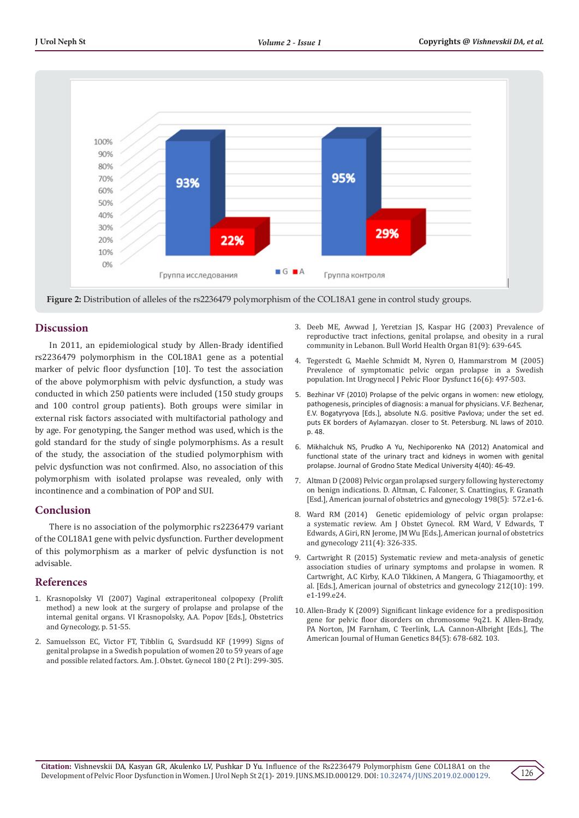

**Figure 2:** Distribution of alleles of the rs2236479 polymorphism of the COL18A1 gene in control study groups.

#### **Discussion**

In 2011, an epidemiological study by Allen-Brady identified rs2236479 polymorphism in the COL18A1 gene as a potential marker of pelvic floor dysfunction [10]. To test the association of the above polymorphism with pelvic dysfunction, a study was conducted in which 250 patients were included (150 study groups and 100 control group patients). Both groups were similar in external risk factors associated with multifactorial pathology and by age. For genotyping, the Sanger method was used, which is the gold standard for the study of single polymorphisms. As a result of the study, the association of the studied polymorphism with pelvic dysfunction was not confirmed. Also, no association of this polymorphism with isolated prolapse was revealed, only with incontinence and a combination of POP and SUI.

## **Conclusion**

There is no association of the polymorphic rs2236479 variant of the COL18A1 gene with pelvic dysfunction. Further development of this polymorphism as a marker of pelvic dysfunction is not advisable.

#### **References**

- 1. Krasnopolsky VI (2007) Vaginal extraperitoneal colpopexy (Prolift method) a new look at the surgery of prolapse and prolapse of the internal genital organs. VI Krasnopolsky, A.A. Popov [Eds.], Obstetrics and Gynecology, p. 51-55.
- 2. [Samuelsson EC, Victor FT, Tibblin G, Svardsudd KF \(1999\) Signs of](https://www.ncbi.nlm.nih.gov/pubmed/9988790)  [genital prolapse in a Swedish population of women 20 to 59 years of age](https://www.ncbi.nlm.nih.gov/pubmed/9988790)  [and possible related factors. Am. J. Obstet. Gynecol 180 \(2 Pt l\): 299-305.](https://www.ncbi.nlm.nih.gov/pubmed/9988790)
- 3. [Deeb ME, Awwad J, Yeretzian JS, Kaspar HG \(2003\) Prevalence of](https://www.ncbi.nlm.nih.gov/pubmed/14710505/) [reproductive tract infections, genital prolapse, and obesity in a rural](https://www.ncbi.nlm.nih.gov/pubmed/14710505/) [community in Lebanon. Bull World Health Organ 81\(9\): 639-645.](https://www.ncbi.nlm.nih.gov/pubmed/14710505/)
- 4. [Tegerstedt G, Maehle Schmidt M, Nyren O, Hammarstrom M \(2005\)](https://www.ncbi.nlm.nih.gov/pubmed/15986100) [Prevalence of symptomatic pelvic organ prolapse in a Swedish](https://www.ncbi.nlm.nih.gov/pubmed/15986100) [population. Int Urogynecol J Pelvic Floor Dysfunct 16\(6\): 497-503.](https://www.ncbi.nlm.nih.gov/pubmed/15986100)
- 5. Bezhinar VF (2010) Prolapse of the pelvic organs in women: new etiology, pathogenesis, principles of diagnosis: a manual for physicians. V.F. Bezhenar, E.V. Bogatyryova [Eds.], absolute N.G. positive Pavlova; under the set ed. puts EK borders of Aylamazyan. closer to St. Petersburg. NL laws of 2010. p. 48.
- 6. Mikhalchuk NS, Prudko A Yu, Nechiporenko NA (2012) Anatomical and functional state of the urinary tract and kidneys in women with genital prolapse. Journal of Grodno State Medical University 4(40): 46-49.
- 7. [Altman D \(2008\) Pelvic organ prolapsed surgery following hysterectomy](https://www.ncbi.nlm.nih.gov/pubmed/18355787) [on benign indications. D. Altman, C. Falconer, S. Cnattingius, F. Granath](https://www.ncbi.nlm.nih.gov/pubmed/18355787) [\[Esd.\], American journal of obstetrics and gynecology 198\(5\): 572.e1-6.](https://www.ncbi.nlm.nih.gov/pubmed/18355787)
- 8. Ward RM (2014) [Genetic epidemiology](https://www.ncbi.nlm.nih.gov/pmc/articles/PMC4213176/) of pelvic organ prolapse: a systematic [review. Am J Obstet Gynecol. RM Ward, V Edwards, T](https://www.ncbi.nlm.nih.gov/pmc/articles/PMC4213176/) [Edwards, A Giri, RN Jerome, JM Wu \[Eds.\], American journal of obstetrics](https://www.ncbi.nlm.nih.gov/pmc/articles/PMC4213176/) and gynecology [211\(4\): 326-335.](https://www.ncbi.nlm.nih.gov/pmc/articles/PMC4213176/)
- 9. [Cartwright R \(2015\) Systematic review and meta-analysis of genetic](https://www.sciencedirect.com/science/article/pii/S0002937814008175) [association studies of urinary symptoms and prolapse in women. R](https://www.sciencedirect.com/science/article/pii/S0002937814008175) [Cartwright, A.C Kirby, K.A.O Tikkinen, A Mangera, G Thiagamoorthy, et](https://www.sciencedirect.com/science/article/pii/S0002937814008175) [al. \[Eds.\], American journal of obstetrics and gynecology 212\(10\): 199.](https://www.sciencedirect.com/science/article/pii/S0002937814008175) [e1-199.e24.](https://www.sciencedirect.com/science/article/pii/S0002937814008175)
- 10. [Allen-Brady K \(2009\) Significant linkage evidence for a predisposition](https://www.ncbi.nlm.nih.gov/pmc/articles/PMC2681003/) [gene for pelvic floor disorders on chromosome 9q21. K Allen-Brady,](https://www.ncbi.nlm.nih.gov/pmc/articles/PMC2681003/) [PA Norton, JM Farnham, C Teerlink, L.A. Cannon-Albright \[Eds.\], The](https://www.ncbi.nlm.nih.gov/pmc/articles/PMC2681003/) [American Journal of Human Genetics 84\(5\): 678-682. 103.](https://www.ncbi.nlm.nih.gov/pmc/articles/PMC2681003/)